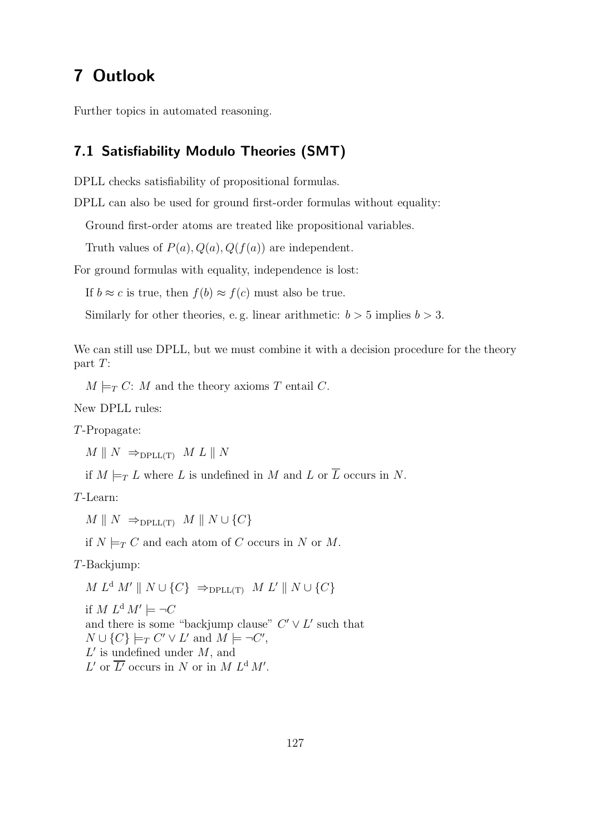# 7 Outlook

Further topics in automated reasoning.

#### 7.1 Satisfiability Modulo Theories (SMT)

DPLL checks satisfiability of propositional formulas.

DPLL can also be used for ground first-order formulas without equality:

Ground first-order atoms are treated like propositional variables.

Truth values of  $P(a)$ ,  $Q(a)$ ,  $Q(f(a))$  are independent.

For ground formulas with equality, independence is lost:

If  $b \approx c$  is true, then  $f(b) \approx f(c)$  must also be true.

Similarly for other theories, e.g. linear arithmetic:  $b > 5$  implies  $b > 3$ .

We can still use DPLL, but we must combine it with a decision procedure for the theory part T:

 $M \models_T C: M$  and the theory axioms T entail C.

New DPLL rules:

T-Propagate:

 $M \parallel N \Rightarrow_{\text{DPLL(T)}} M L \parallel N$ 

if  $M \models_T L$  where L is undefined in M and L or  $\overline{L}$  occurs in N.

T-Learn:

 $M \parallel N \Rightarrow_{\text{DPLL(T)}} M \parallel N \cup \{C\}$ 

if  $N \models_T C$  and each atom of C occurs in N or M.

T-Backjump:

 $M L<sup>d</sup> M' \parallel N \cup \{C\} \Rightarrow_{\text{DPLL(T)}} M L' \parallel N \cup \{C\}$ 

if  $M L^d M' \models \neg C$ and there is some "backjump clause"  $C' \vee L'$  such that  $N \cup \{C\} \models_T C' \vee L'$  and  $M \models \neg C'$ ,  $L'$  is undefined under  $M$ , and  $L'$  or  $\overline{L'}$  occurs in N or in M  $L^d M'$ .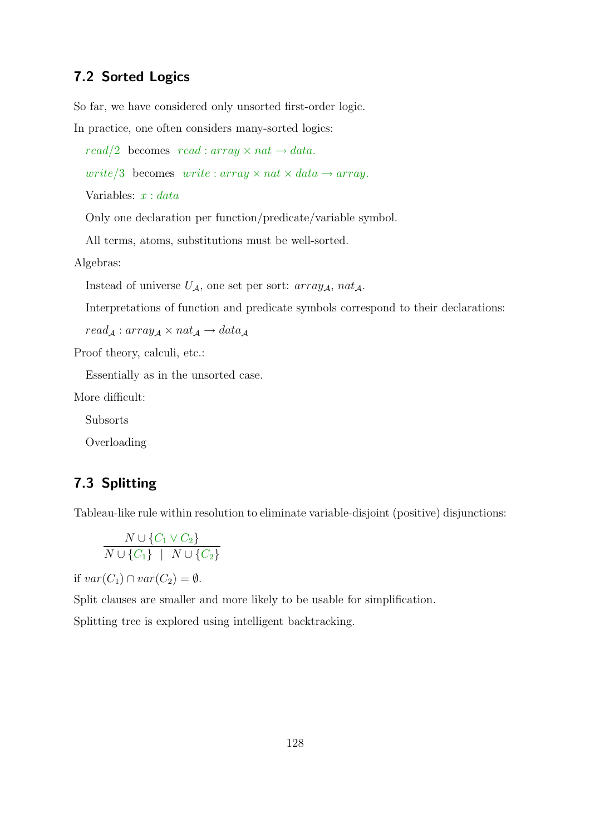#### 7.2 Sorted Logics

So far, we have considered only unsorted first-order logic.

In practice, one often considers many-sorted logics:

read/2 becomes read : array  $\times$  nat  $\rightarrow$  data.

write/3 becomes write : array  $\times$  nat  $\times$  data  $\rightarrow$  array.

Variables:  $x : data$ 

Only one declaration per function/predicate/variable symbol.

All terms, atoms, substitutions must be well-sorted.

Algebras:

Instead of universe  $U_A$ , one set per sort: array<sub>A</sub>, nat<sub>A</sub>.

Interpretations of function and predicate symbols correspond to their declarations:

 $read_{\mathcal{A}} : array_{\mathcal{A}} \times nat_{\mathcal{A}} \rightarrow data_{\mathcal{A}}$ 

Proof theory, calculi, etc.:

Essentially as in the unsorted case.

More difficult:

Subsorts

Overloading

## 7.3 Splitting

Tableau-like rule within resolution to eliminate variable-disjoint (positive) disjunctions:

$$
\frac{N \cup \{C_1 \vee C_2\}}{N \cup \{C_1\} \mid N \cup \{C_2\}}
$$

if  $var(C_1) \cap var(C_2) = \emptyset$ .

Split clauses are smaller and more likely to be usable for simplification.

Splitting tree is explored using intelligent backtracking.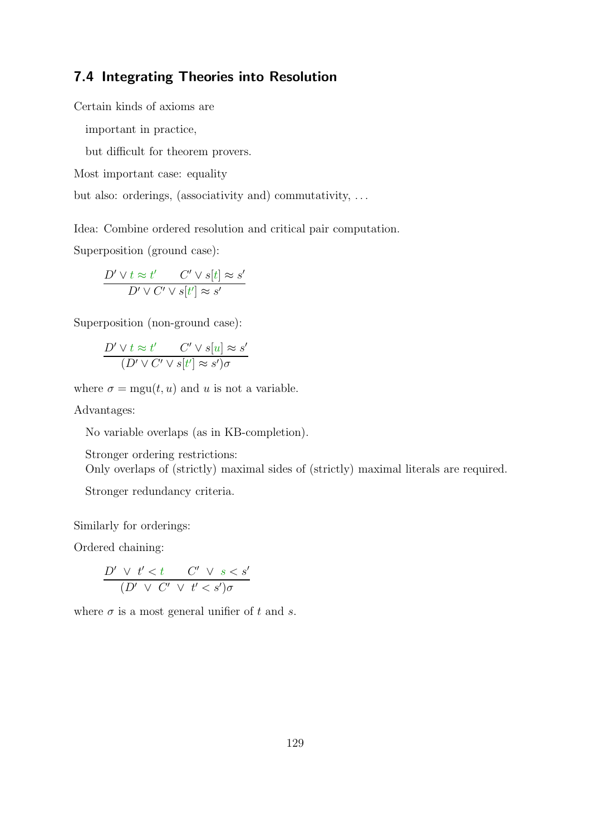### 7.4 Integrating Theories into Resolution

Certain kinds of axioms are

important in practice,

but difficult for theorem provers.

Most important case: equality

but also: orderings, (associativity and) commutativity, . . .

Idea: Combine ordered resolution and critical pair computation.

Superposition (ground case):

$$
\frac{D' \lor t \approx t'}{D' \lor C' \lor s[t] \approx s'}
$$

Superposition (non-ground case):

$$
\frac{D' \lor t \approx t'}{(D' \lor C' \lor s[t'] \approx s')\sigma}
$$

where  $\sigma = \text{mgu}(t, u)$  and u is not a variable.

Advantages:

No variable overlaps (as in KB-completion).

Stronger ordering restrictions:

Only overlaps of (strictly) maximal sides of (strictly) maximal literals are required.

Stronger redundancy criteria.

Similarly for orderings:

Ordered chaining:

$$
\frac{D' \vee t' < t \quad C' \vee s < s'}{(D' \vee C' \vee t' < s')\sigma}
$$

where  $\sigma$  is a most general unifier of t and s.